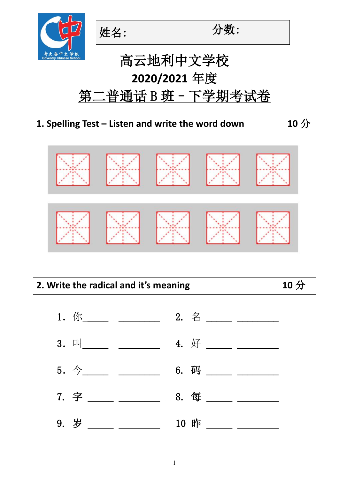



# 高云地利中文学校 **2020/2021** 年度 第二普通话 B 班 - 下学期考试卷

#### **1. Spelling Test – Listen and write the word down 10** 分



# **2. Write the radical and it's meaning 10** 分

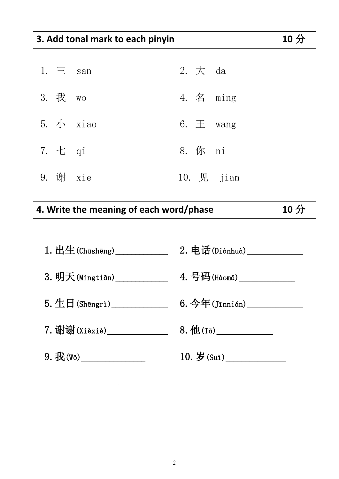### **3. Add tonal mark to each pinyin 10** 分

| 1. $\equiv$ san |                      | 2. $\pm$ da |                       |
|-----------------|----------------------|-------------|-----------------------|
| 3. 我 wo         |                      |             | 4. $\angle$ ming      |
|                 | $5.$ $\sqrt{ }$ xiao |             | 6. $\pm$ wang         |
| 7. 七 qi         |                      | 8. 你 ni     |                       |
| 9. 谢 xie        |                      |             | 10. $\mathbb{R}$ jian |

## **4. Write the meaning of each word/phase 10** 分

| $1.$ 出生 (Chūshēng)         | $2.$ 电话 $(Didnhud)$           |
|----------------------------|-------------------------------|
|                            | 4. 号码(Hàomǎ)____________      |
| $5.$ 生日 (Shēngrì)          | $6.$ 今年(Jīnnián) ____________ |
| 7. 谢谢(Xièxiè)_____________ | $8.$ 他 $(Ta)$                 |
|                            | 10. $\frac{1}{2}$ (Sut)       |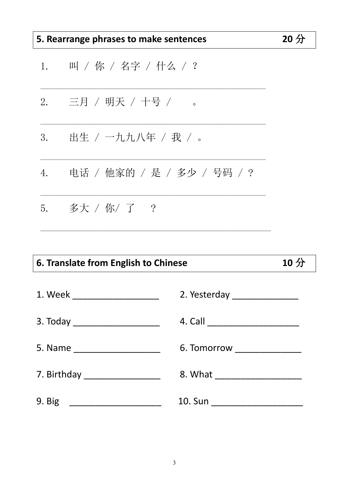| 5. Rearrange phrases to make sentences |                                                 | $20$ 分 |
|----------------------------------------|-------------------------------------------------|--------|
| 1.                                     | 叫 / 你 / 名字 / 什么 / ?                             |        |
|                                        | 2.   三月 / 明天 / 十号 /<br>$\overline{\phantom{0}}$ |        |
| 3.                                     | 出生 / 一九九八年 / 我 / 。                              |        |
| 4.                                     | 电话 / 他家的 / 是 / 多少 / 号码 / ?                      |        |
|                                        | 5. $\frac{2}{3}$ 大 / 你/ 了 ?                     |        |
|                                        |                                                 |        |

## 6. Translate from English to Chinese

| 1. Week _____________________    |                               |
|----------------------------------|-------------------------------|
| 3. Today _______________________ |                               |
| 5. Name _____________________    | 6. Tomorrow _________________ |
| 7. Birthday __________________   |                               |
| 9. Big                           |                               |